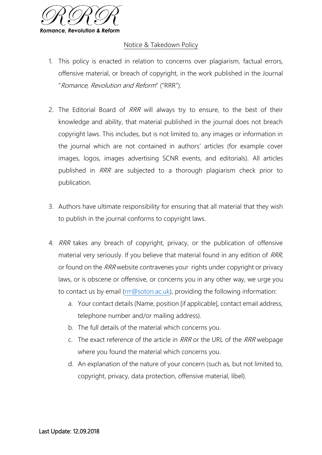

## Notice & Takedown Policy

- 1. This policy is enacted in relation to concerns over plagiarism, factual errors, offensive material, or breach of copyright, in the work published in the Journal "Romance, Revolution and Reform" ("RRR").
- 2. The Editorial Board of RRR will always try to ensure, to the best of their knowledge and ability, that material published in the journal does not breach copyright laws. This includes, but is not limited to, any images or information in the journal which are not contained in authors' articles (for example cover images, logos, images advertising SCNR events, and editorials). All articles published in RRR are subjected to a thorough plagiarism check prior to publication.
- 3. Authors have ultimate responsibility for ensuring that all material that they wish to publish in the journal conforms to copyright laws.
- 4. RRR takes any breach of copyright, privacy, or the publication of offensive material very seriously. If you believe that material found in any edition of RRR, or found on the RRR website contravenes your rights under copyright or privacy laws, or is obscene or offensive, or concerns you in any other way, we urge you to contact us by email [\(rrr@soton.ac.uk\)](mailto:rrr@soton.ac.uk), providing the following information:
	- a. Your contact details (Name, position [if applicable], contact email address, telephone number and/or mailing address).
	- b. The full details of the material which concerns you.
	- c. The exact reference of the article in RRR or the URL of the RRR webpage where you found the material which concerns you.
	- d. An explanation of the nature of your concern (such as, but not limited to, copyright, privacy, data protection, offensive material, libel).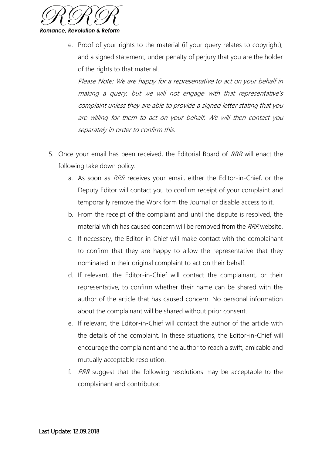

e. Proof of your rights to the material (if your query relates to copyright), and a signed statement, under penalty of perjury that you are the holder of the rights to that material.

Please Note: We are happy for a representative to act on your behalf in making a query, but we will not engage with that representative's complaint unless they are able to provide a signed letter stating that you are willing for them to act on your behalf. We will then contact you separately in order to confirm this.

- 5. Once your email has been received, the Editorial Board of RRR will enact the following take down policy:
	- a. As soon as RRR receives your email, either the Editor-in-Chief, or the Deputy Editor will contact you to confirm receipt of your complaint and temporarily remove the Work form the Journal or disable access to it.
	- b. From the receipt of the complaint and until the dispute is resolved, the material which has caused concern will be removed from the RRR website.
	- c. If necessary, the Editor-in-Chief will make contact with the complainant to confirm that they are happy to allow the representative that they nominated in their original complaint to act on their behalf.
	- d. If relevant, the Editor-in-Chief will contact the complainant, or their representative, to confirm whether their name can be shared with the author of the article that has caused concern. No personal information about the complainant will be shared without prior consent.
	- e. If relevant, the Editor-in-Chief will contact the author of the article with the details of the complaint. In these situations, the Editor-in-Chief will encourage the complainant and the author to reach a swift, amicable and mutually acceptable resolution.
	- f. RRR suggest that the following resolutions may be acceptable to the complainant and contributor: